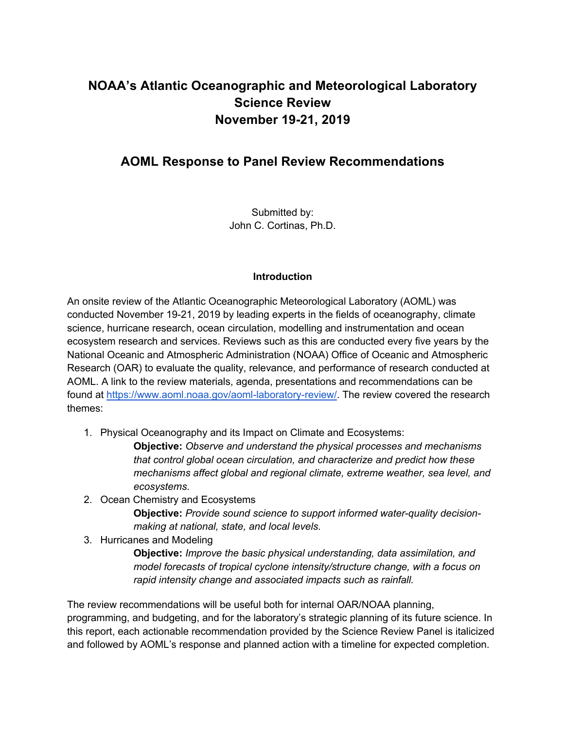## **NOAA's Atlantic Oceanographic and Meteorological Laboratory Science Review November 19-21, 2019**

## **AOML Response to Panel Review Recommendations**

Submitted by: John C. Cortinas, Ph.D.

## **Introduction**

An onsite review of the Atlantic Oceanographic Meteorological Laboratory (AOML) was conducted November 19-21, 2019 by leading experts in the fields of oceanography, climate science, hurricane research, ocean circulation, modelling and instrumentation and ocean ecosystem research and services. Reviews such as this are conducted every five years by the National Oceanic and Atmospheric Administration (NOAA) Office of Oceanic and Atmospheric Research (OAR) to evaluate the quality, relevance, and performance of research conducted at AOML. A link to the review materials, agenda, presentations and recommendations can be found at https://www.aoml.noaa.gov/aoml-laboratory-review/. The review covered the research themes:

1. Physical Oceanography and its Impact on Climate and Ecosystems:

**Objective:** *Observe and understand the physical processes and mechanisms that control global ocean circulation, and characterize and predict how these mechanisms affect global and regional climate, extreme weather, sea level, and ecosystems.*

2. Ocean Chemistry and Ecosystems

**Objective:** *Provide sound science to support informed water-quality decisionmaking at national, state, and local levels.*

3. Hurricanes and Modeling

**Objective:** *Improve the basic physical understanding, data assimilation, and model forecasts of tropical cyclone intensity/structure change, with a focus on rapid intensity change and associated impacts such as rainfall.*

The review recommendations will be useful both for internal OAR/NOAA planning, programming, and budgeting, and for the laboratory's strategic planning of its future science. In this report, each actionable recommendation provided by the Science Review Panel is italicized and followed by AOML's response and planned action with a timeline for expected completion.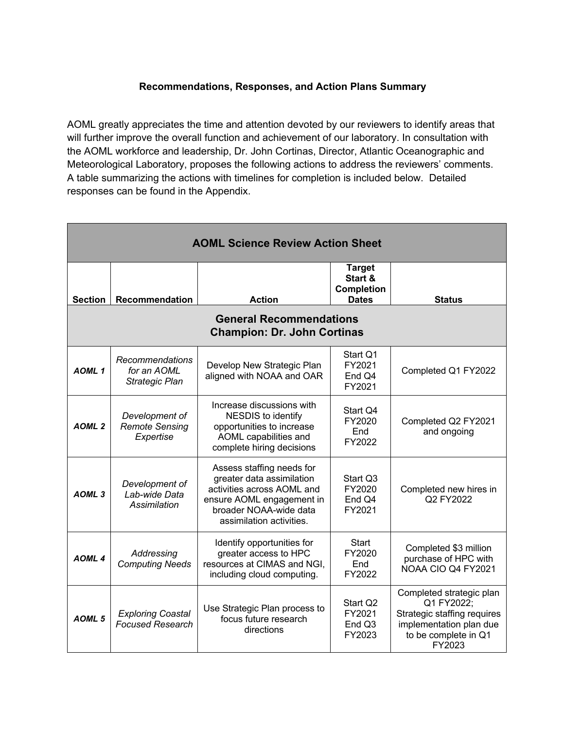## **Recommendations, Responses, and Action Plans Summary**

AOML greatly appreciates the time and attention devoted by our reviewers to identify areas that will further improve the overall function and achievement of our laboratory. In consultation with the AOML workforce and leadership, Dr. John Cortinas, Director, Atlantic Oceanographic and Meteorological Laboratory, proposes the following actions to address the reviewers' comments. A table summarizing the actions with timelines for completion is included below. Detailed responses can be found in the Appendix.

| <b>AOML Science Review Action Sheet</b>                              |                                                      |                                                                                                                                                                         |                                                               |                                                                                                                                    |
|----------------------------------------------------------------------|------------------------------------------------------|-------------------------------------------------------------------------------------------------------------------------------------------------------------------------|---------------------------------------------------------------|------------------------------------------------------------------------------------------------------------------------------------|
| <b>Section</b>                                                       | <b>Recommendation</b>                                | <b>Action</b>                                                                                                                                                           | <b>Target</b><br>Start &<br><b>Completion</b><br><b>Dates</b> | <b>Status</b>                                                                                                                      |
| <b>General Recommendations</b><br><b>Champion: Dr. John Cortinas</b> |                                                      |                                                                                                                                                                         |                                                               |                                                                                                                                    |
| AOML <sub>1</sub>                                                    | Recommendations<br>for an AOML<br>Strategic Plan     | Develop New Strategic Plan<br>aligned with NOAA and OAR                                                                                                                 | Start Q1<br>FY2021<br>End Q4<br>FY2021                        | Completed Q1 FY2022                                                                                                                |
| AOML <sub>2</sub>                                                    | Development of<br><b>Remote Sensing</b><br>Expertise | Increase discussions with<br><b>NESDIS to identify</b><br>opportunities to increase<br>AOML capabilities and<br>complete hiring decisions                               | Start Q4<br>FY2020<br>End<br>FY2022                           | Completed Q2 FY2021<br>and ongoing                                                                                                 |
| AOML <sub>3</sub>                                                    | Development of<br>Lab-wide Data<br>Assimilation      | Assess staffing needs for<br>greater data assimilation<br>activities across AOML and<br>ensure AOML engagement in<br>broader NOAA-wide data<br>assimilation activities. | Start Q3<br>FY2020<br>End Q4<br>FY2021                        | Completed new hires in<br>Q2 FY2022                                                                                                |
| AOML 4                                                               | Addressing<br><b>Computing Needs</b>                 | Identify opportunities for<br>greater access to HPC<br>resources at CIMAS and NGI,<br>including cloud computing.                                                        | <b>Start</b><br>FY2020<br>End<br>FY2022                       | Completed \$3 million<br>purchase of HPC with<br>NOAA CIO Q4 FY2021                                                                |
| AOML <sub>5</sub>                                                    | <b>Exploring Coastal</b><br><b>Focused Research</b>  | Use Strategic Plan process to<br>focus future research<br>directions                                                                                                    | Start Q2<br>FY2021<br>End Q3<br>FY2023                        | Completed strategic plan<br>Q1 FY2022;<br>Strategic staffing requires<br>implementation plan due<br>to be complete in Q1<br>FY2023 |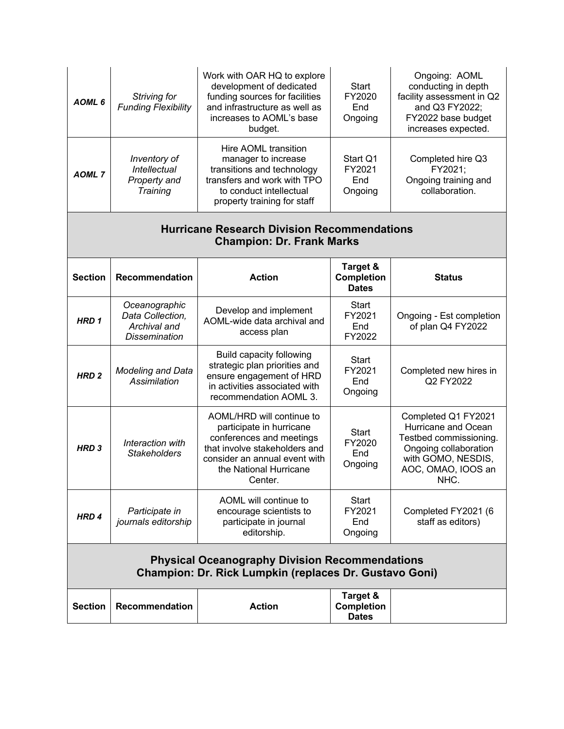| AOML <sub>6</sub>                                                                                                      | Striving for<br><b>Funding Flexibility</b>                                | Work with OAR HQ to explore<br>development of dedicated<br>funding sources for facilities<br>and infrastructure as well as<br>increases to AOML's base<br>budget.                        | <b>Start</b><br>FY2020<br>End<br>Ongoing      | Ongoing: AOML<br>conducting in depth<br>facility assessment in Q2<br>and Q3 FY2022;<br>FY2022 base budget<br>increases expected.                  |
|------------------------------------------------------------------------------------------------------------------------|---------------------------------------------------------------------------|------------------------------------------------------------------------------------------------------------------------------------------------------------------------------------------|-----------------------------------------------|---------------------------------------------------------------------------------------------------------------------------------------------------|
| <b>AOML7</b>                                                                                                           | Inventory of<br>Intellectual<br>Property and<br>Training                  | Hire AOML transition<br>manager to increase<br>transitions and technology<br>transfers and work with TPO<br>to conduct intellectual<br>property training for staff                       | Start Q1<br>FY2021<br>End<br>Ongoing          | Completed hire Q3<br>FY2021;<br>Ongoing training and<br>collaboration.                                                                            |
| <b>Hurricane Research Division Recommendations</b><br><b>Champion: Dr. Frank Marks</b>                                 |                                                                           |                                                                                                                                                                                          |                                               |                                                                                                                                                   |
| <b>Section</b>                                                                                                         | <b>Recommendation</b>                                                     | <b>Action</b>                                                                                                                                                                            | Target &<br><b>Completion</b><br><b>Dates</b> | <b>Status</b>                                                                                                                                     |
| HRD <sub>1</sub>                                                                                                       | Oceanographic<br>Data Collection,<br>Archival and<br><b>Dissemination</b> | Develop and implement<br>AOML-wide data archival and<br>access plan                                                                                                                      | <b>Start</b><br>FY2021<br>End<br>FY2022       | Ongoing - Est completion<br>of plan Q4 FY2022                                                                                                     |
| HRD <sub>2</sub>                                                                                                       | Modeling and Data<br>Assimilation                                         | <b>Build capacity following</b><br>strategic plan priorities and<br>ensure engagement of HRD<br>in activities associated with<br>recommendation AOML 3.                                  | <b>Start</b><br>FY2021<br>End<br>Ongoing      | Completed new hires in<br>Q2 FY2022                                                                                                               |
| HRD <sub>3</sub>                                                                                                       | Interaction with<br><b>Stakeholders</b>                                   | AOML/HRD will continue to<br>participate in hurricane<br>conferences and meetings<br>that involve stakeholders and<br>consider an annual event with<br>the National Hurricane<br>Center. | <b>Start</b><br>FY2020<br>End<br>Ongoing      | Completed Q1 FY2021<br>Hurricane and Ocean<br>Testbed commissioning.<br>Ongoing collaboration<br>with GOMO, NESDIS,<br>AOC, OMAO, IOOS an<br>NHC. |
| HRD <sub>4</sub>                                                                                                       | Participate in<br>journals editorship                                     | AOML will continue to<br>encourage scientists to<br>participate in journal<br>editorship.                                                                                                | Start<br>FY2021<br>End<br>Ongoing             | Completed FY2021 (6<br>staff as editors)                                                                                                          |
| <b>Physical Oceanography Division Recommendations</b><br><b>Champion: Dr. Rick Lumpkin (replaces Dr. Gustavo Goni)</b> |                                                                           |                                                                                                                                                                                          |                                               |                                                                                                                                                   |
| <b>Section</b>                                                                                                         | Recommendation                                                            | <b>Action</b>                                                                                                                                                                            | Target &<br><b>Completion</b><br><b>Dates</b> |                                                                                                                                                   |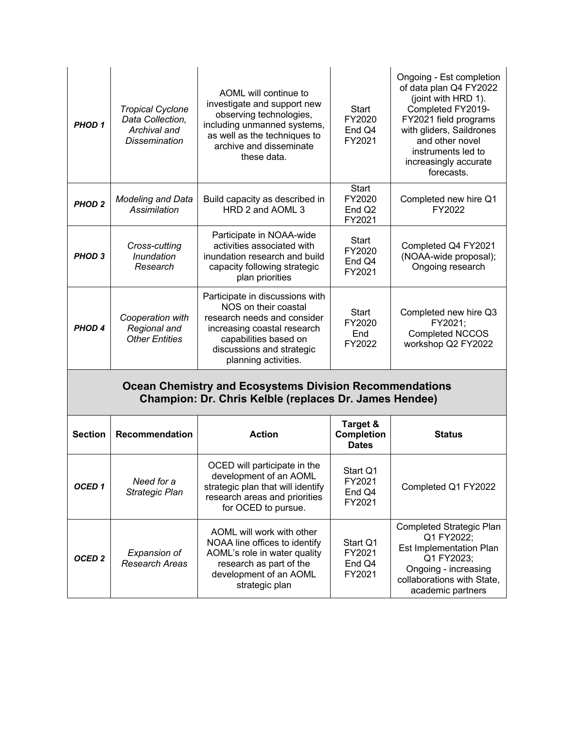| PHOD <sub>1</sub>                                                                                                        | <b>Tropical Cyclone</b><br>Data Collection,<br>Archival and<br><b>Dissemination</b> | AOML will continue to<br>investigate and support new<br>observing technologies,<br>including unmanned systems,<br>as well as the techniques to<br>archive and disseminate<br>these data.            | <b>Start</b><br>FY2020<br>End Q4<br>FY2021             | Ongoing - Est completion<br>of data plan Q4 FY2022<br>(joint with HRD 1).<br>Completed FY2019-<br>FY2021 field programs<br>with gliders, Saildrones<br>and other novel<br>instruments led to<br>increasingly accurate<br>forecasts. |
|--------------------------------------------------------------------------------------------------------------------------|-------------------------------------------------------------------------------------|-----------------------------------------------------------------------------------------------------------------------------------------------------------------------------------------------------|--------------------------------------------------------|-------------------------------------------------------------------------------------------------------------------------------------------------------------------------------------------------------------------------------------|
| <b>PHOD 2</b>                                                                                                            | <b>Modeling and Data</b><br>Assimilation                                            | Build capacity as described in<br>HRD 2 and AOML 3                                                                                                                                                  | <b>Start</b><br>FY2020<br>End Q <sub>2</sub><br>FY2021 | Completed new hire Q1<br>FY2022                                                                                                                                                                                                     |
| PHOD <sub>3</sub>                                                                                                        | Cross-cutting<br>Inundation<br>Research                                             | Participate in NOAA-wide<br>activities associated with<br>inundation research and build<br>capacity following strategic<br>plan priorities                                                          | <b>Start</b><br>FY2020<br>End Q4<br>FY2021             | Completed Q4 FY2021<br>(NOAA-wide proposal);<br>Ongoing research                                                                                                                                                                    |
| PHOD <sub>4</sub>                                                                                                        | Cooperation with<br>Regional and<br><b>Other Entities</b>                           | Participate in discussions with<br>NOS on their coastal<br>research needs and consider<br>increasing coastal research<br>capabilities based on<br>discussions and strategic<br>planning activities. | Start<br>FY2020<br>End<br>FY2022                       | Completed new hire Q3<br>FY2021;<br><b>Completed NCCOS</b><br>workshop Q2 FY2022                                                                                                                                                    |
| <b>Ocean Chemistry and Ecosystems Division Recommendations</b><br>Champion: Dr. Chris Kelble (replaces Dr. James Hendee) |                                                                                     |                                                                                                                                                                                                     |                                                        |                                                                                                                                                                                                                                     |

| <b>Section</b>    | <b>Recommendation</b>                 | <b>Action</b>                                                                                                                                                     | Target &<br><b>Completion</b><br><b>Dates</b> | <b>Status</b>                                                                                                                                                     |
|-------------------|---------------------------------------|-------------------------------------------------------------------------------------------------------------------------------------------------------------------|-----------------------------------------------|-------------------------------------------------------------------------------------------------------------------------------------------------------------------|
| OCED <sub>1</sub> | Need for a<br>Strategic Plan          | OCED will participate in the<br>development of an AOML<br>strategic plan that will identify<br>research areas and priorities<br>for OCED to pursue.               | Start Q1<br>FY2021<br>End Q4<br>FY2021        | Completed Q1 FY2022                                                                                                                                               |
| OCED <sub>2</sub> | Expansion of<br><b>Research Areas</b> | AOML will work with other<br>NOAA line offices to identify<br>AOML's role in water quality<br>research as part of the<br>development of an AOML<br>strategic plan | Start Q1<br>FY2021<br>End Q4<br>FY2021        | Completed Strategic Plan<br>Q1 FY2022;<br><b>Est Implementation Plan</b><br>Q1 FY2023;<br>Ongoing - increasing<br>collaborations with State,<br>academic partners |